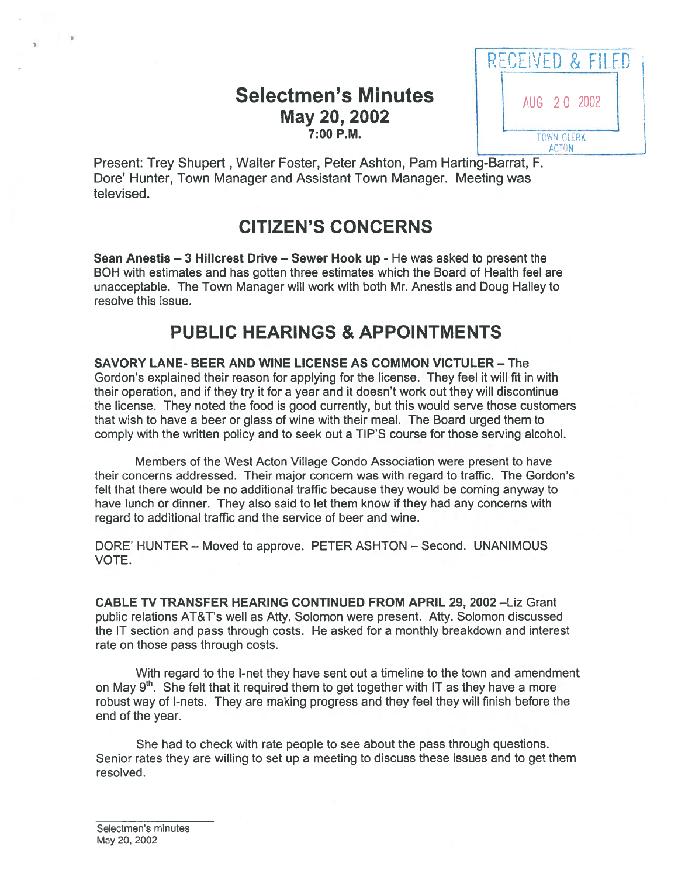# Selectmen's Minutes **AUG 20 2002** May 20, 2002 7:00 P.M. [ J



Present: Trey Shupert , Walter Foster, Peter Ashton, Pam Harting-Barrat, F. Dote' Hunter, Town Manager and Assistant Town Manager. Meeting was televised.

## CITIZEN'S CONCERNS

Sean Anestis — 3 Hillcrest Drive — Sewer Hook up - He was asked to presen<sup>t</sup> the BOH with estimates and has gotten three estimates which the Board of Health feel ate unacceptable. The Town Manager will work with both Mr. Anestis and Doug Halley to resolve this issue.

## PUBLIC HEARINGS & APPOINTMENTS

SAVORY LANE- BEER AND WINE LICENSE AS COMMON VICTULER — The Gordon's explained their reason for applying for the license. They feel it will fit in with their operation, and if they try it for <sup>a</sup> year and it doesn't work out they will discontinue the license. They noted the food is good currently, but this would serve those customers that wish to have <sup>a</sup> beer or glass of wine with their meal. The Board urged them to comply with the written policy and to seek out <sup>a</sup> TIP'S course for those serving alcohol.

Members of the West Acton Village Condo Association were presen<sup>t</sup> to have their concerns addressed. Their major concern was with regard to traffic. The Gordon's felt that there would be no additional traffic because they would be coming anyway to have lunch or dinner. They also said to let them know if they had any concerns with regard to additional traffic and the service of beer and wine.

DORE' HUNTER — Moved to approve. PETER ASHTON — Second. UNANIMOUS VOTE.

CABLE TV TRANSFER HEARING CONTINUED FROM APRIL 29, 2002 —Liz Grant public relations AT&T's well as Atty. Solomon were present. Atty. Solomon discussed the IT section and pass through costs. He asked for <sup>a</sup> monthly breakdown and interest rate on those pass through costs.

With regard to the I-net they have sent out <sup>a</sup> timeline to the town and amendment on Mav 9<sup>th</sup>. She felt that it required them to get together with IT as they have a more robust way of I-nets. They are making progress and they feel they will finish before the end of the year.

She had to check with rate people to see about the pass through questions. Senior rates they are willing to set up <sup>a</sup> meeting to discuss these issues and to ge<sup>t</sup> them resolved.

3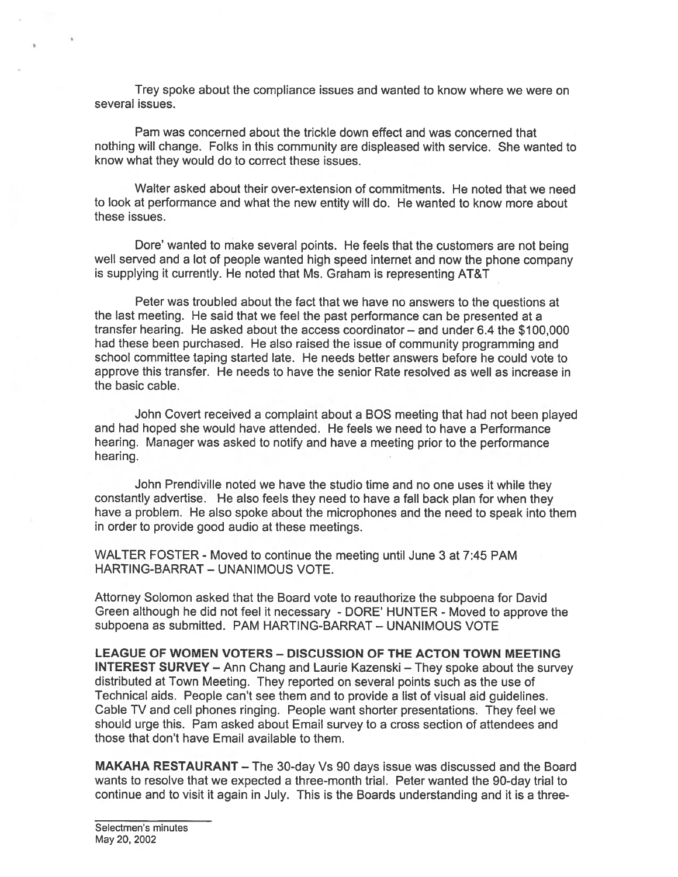Trey spoke about the compliance issues and wanted to know where we were on several issues.

Pam was concerned about the trickle down effect and was concerned that nothing will change. Folks in this community are displeased with service. She wanted to know what they would do to correct these issues.

Walter asked about their over-extension of commitments. He noted that we need to look at performance and what the new entity will do. He wanted to know more about these issues.

Dore' wanted to make several points. He feels that the customers are not being well served and <sup>a</sup> lot of people wanted high speed internet and now the <sup>p</sup>hone company is supplying it currently. He noted that Ms. Graham is representing AT&T

Peter was troubled about the fact that we have no answers to the questions at the last meeting. He said that we feel the pas<sup>t</sup> performance can be presented at <sup>a</sup> transfer hearing. He asked about the access coordinator— and under 6.4 the \$100,000 had these been purchased. He also raised the issue of community programming and school committee taping started late. He needs better answers before he could vote to approve this transfer. He needs to have the senior Rate resolved as well as increase in the basic cable.

John Covert received <sup>a</sup> complaint about <sup>a</sup> BOS meeting that had not been played and had hoped she would have attended. He feels we need to have <sup>a</sup> Performance hearing. Manager was asked to notify and have <sup>a</sup> meeting prior to the performance hearing.

John Prendiville noted we have the studio time and no one uses it while they constantly advertise. He also feels they need to have <sup>a</sup> fall back <sup>p</sup>lan for when they have <sup>a</sup> problem. He also spoke about the microphones and the need to speak into them in order to provide good audio at these meetings.

WALTER FOSTER - Moved to continue the meeting until June 3 at 7:45 PAM HARTING-BARRAT - UNANIMOUS VOTE.

Attorney Solomon asked that the Board vote to reauthorize the subpoena for David Green although he did not feel it necessary - DORE' HUNTER - Moved to approve the subpoena as submitted. PAM HARTING-BARRAT — UNANIMOUS VOTE

LEAGUE OF WOMEN VOTERS — DISCUSSION OF THE ACTON TOWN MEETING INTEREST SURVEY — Ann Chang and Laurie Kazenski — They spoke about the survey distributed at Town Meeting. They reported on several points such as the use of Technical aids. People can't see them and to provide <sup>a</sup> list of visual aid guidelines. Cable TV and cell phones ringing. People want shorter presentations. They feel we should urge this. Pam asked about Email survey to <sup>a</sup> cross section of attendees and those that don't have Email available to them.

MAKAHA RESTAURANT — The 30-day Vs 90 days issue was discussed and the Board wants to resolve that we expected <sup>a</sup> three-month trial. Peter wanted the 90-day trial to continue and to visit it again in July. This is the Boards understanding and it is <sup>a</sup> three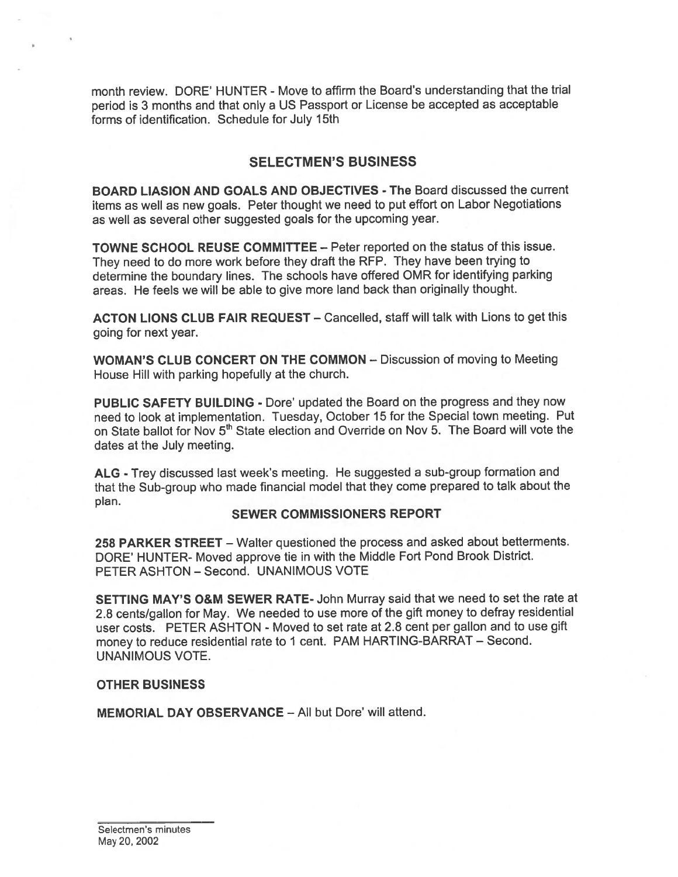month review. DORE' HUNTER - Move to affirm the Board's understanding that the trial period is <sup>3</sup> months and that only <sup>a</sup> US Passport or License be accepted as acceptable forms of identification. Schedule for July 15th

#### SELECTMEN'S BUSINESS

BOARD LIASION AND GOALS AND OBJECTIVES -The Board discussed the current items as well as new goals. Peter thought we need to pu<sup>t</sup> effort on Labor Negotiations as well as several other suggested goals for the upcoming year.

TOWNE SCHOOL REUSE COMMITTEE — Peter reported on the status of this issue. They need to do more work before they draft the REP. They have been trying to determine the boundary lines. The schools have offered OMR for identifying parking areas. He feels we will be able to <sup>g</sup>ive more land back than originally thought.

ACTON LIONS CLUB FAIR REQUEST — Cancelled, staff will talk with Lions to ge<sup>t</sup> this going for next year.

WOMAN'S CLUB CONCERT ON THE COMMON — Discussion of moving to Meeting House Hill with parking hopefully at the church.

PUBLIC SAFETY BUILDING - Dore' updated the Board on the progress and they now need to look at implementation. Tuesday, October <sup>15</sup> for the Special town meeting. Put on State ballot for Nov 5<sup>th</sup> State election and Override on Nov 5. The Board will vote the dates at the July meeting.

ALG - Trey discussed last week's meeting. He suggested <sup>a</sup> sub-group formation and that the Sub-group who made financial model that they come prepare<sup>d</sup> to talk about the plan.

#### SEWER COMMISSIONERS REPORT

<sup>258</sup> PARKER STREET — Walter questioned the process and asked about betterments. DORE' HUNTER- Moved approve tie in with the Middle Fort Pond Brook District. PETER ASHTON — Second. UNANIMOUS VOTE

SETTING MAY'S O&M SEWER RATE- John Murray said that we need to set the rate at 2.8 cents/gallon for May. We needed to use more of the <sup>g</sup>ift money to defray residential user costs. PETER ASHTON - Moved to set rate at 2.8 cent per gallon and to use gift money to reduce residential rate to 1 cent. PAM HARTING-BARRAT - Second. UNANIMOUS VOTE.

#### OTHER BUSINESS

MEMORIAL DAY OBSERVANCE — All but Dore' will attend.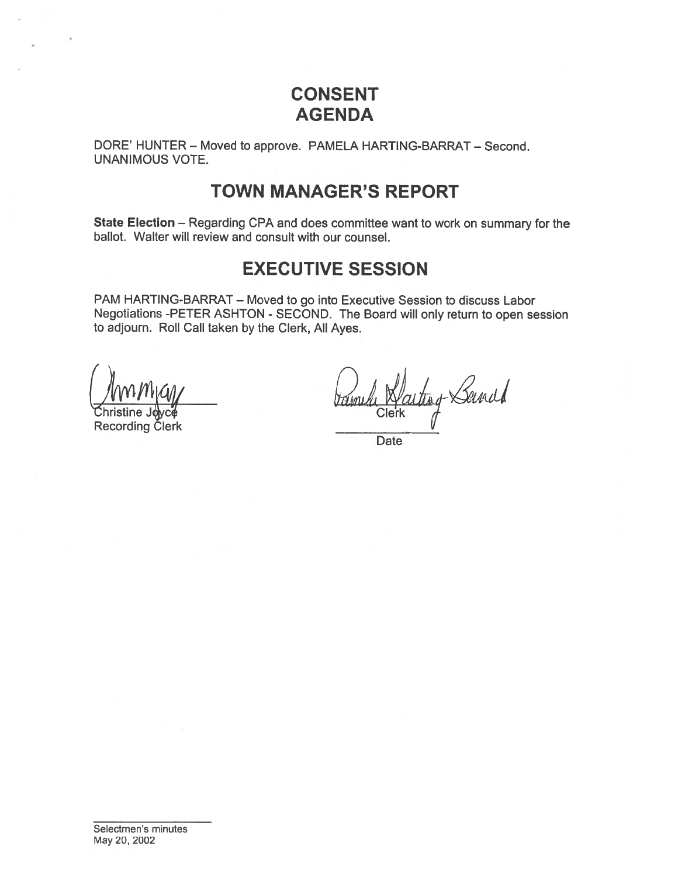## CONSENT AGENDA

DORE' HUNTER — Moved to approve. PAMELA HARTING-BARRAT — Second. UNANIMOUS VOTE.

## TOWN MANAGER'S REPORT

State Election — Regarding CPA and does committee want to work on summary for the ballot. Walter will review and consult with our counsel.

## EXECUTIVE SESSION

PAM HARTING-BARRAT — Moved to go into Executive Session to discuss Labor Negotiations -PETER ASHTON - SECOND. The Board will only return to open session **CONSEM<br>
CONSENT AGEND**<br>
DORE' HUNTER – Moved to approve. PAMELA<br>
UNANIMOUS VOTE.<br> **TOWN MANAGER**<br>
State Election – Regarding CPA and does comm<br>
ballot. Walter will review and consult with our count<br> **EXECUTIVE S**<br>
PAM HAR

Recording Clerk

Klaiting-Sandd

**Date** 

Selectmen's minutes May 20, 2002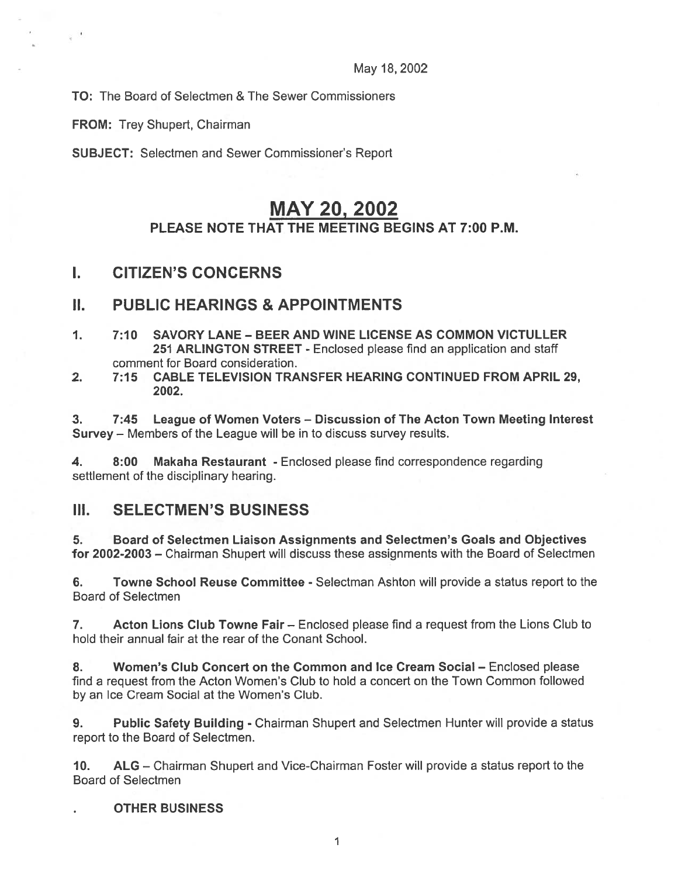May 18, 2002

TO: The Board of Selectmen & The Sewer Commissioners

FROM: Trey Shupert, Chairman

 $_{\rm c}$   $^{-1}$ 

SUBJECT: Selectmen and Sewer Commissioner's Report

## MAY 20, 2002 PLEASE NOTE THAT THE MEETING BEGINS AT 7:00 P.M.

## I. CITIZEN'S CONCERNS

### II. PUBLIC HEARINGS & APPOINTMENTS

- 1. 7:10 SAVORY LANE -BEER AND WINE LICENSE AS COMMON VICTULLER 251 ARLINGTON STREET - Enclosed please find an application and staff comment for Board consideration.
- 2. 7:15 CABLE TELEVISION TRANSFER HEARING CONTINUED FROM APRIL 29, 2002.

3. 7:45 League of Women Voters — Discussion of The Acton Town Meeting Interest Survey — Members of the League will be in to discuss survey results.

4. 8:00 Makaha Restaurant - Enclosed please find correspondence regarding settlement of the disciplinary hearing.

### III. SELECTMEN'S BUSINESS

5. Board of Selectmen Liaison Assignments and Selectmen's Goals and Objectives for 2002-2003 — Chairman Shupert will discuss these assignments with the Board of Selectmen

6. Towne School Reuse Committee - Selectman Ashton will provide <sup>a</sup> status repor<sup>t</sup> to the Board of Selectmen

7. Acton Lions Club Towne Fair — Enclosed please find <sup>a</sup> reques<sup>t</sup> from the Lions Club to hold their annual fair at the rear of the Conant School.

8. Women's Club Concert on the Common and Ice Cream Social — Enclosed please find <sup>a</sup> reques<sup>t</sup> from the Acton Women's Club to hold <sup>a</sup> concert on the Town Common followed by an Ice Cream Social at the Women's Club.

9. Public Safety Building - Chairman Shupert and Selectmen Hunter will provide a status repor<sup>t</sup> to the Board of Selectmen.

10. ALG — Chairman Shupert and Vice-Chairman Foster will provide <sup>a</sup> status repor<sup>t</sup> to the Board of Selectmen

### OTHER BUSINESS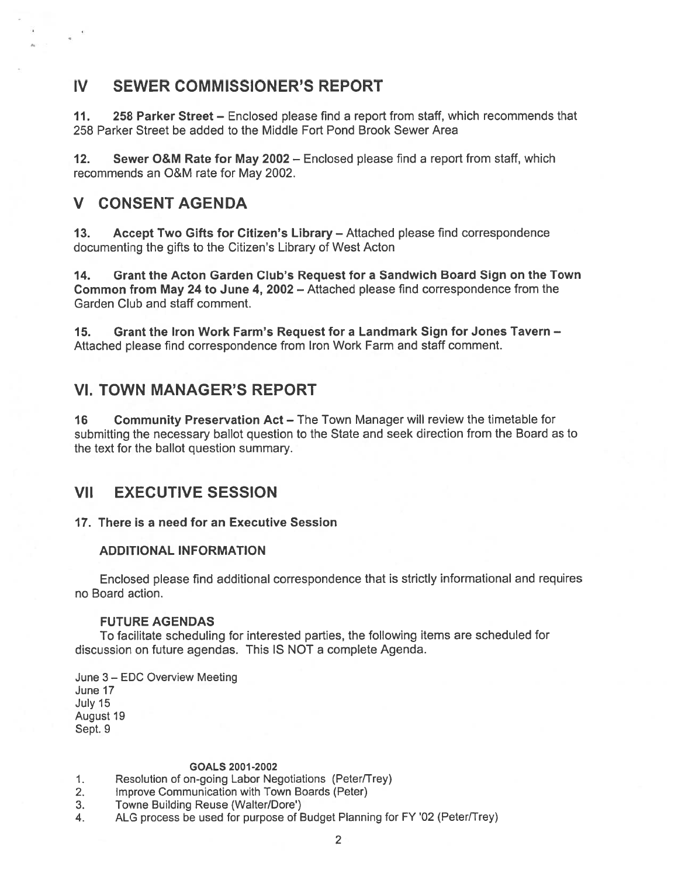### IV SEWER COMMISSIONER'S REPORT

11. 258 Parker Street – Enclosed please find a report from staff, which recommends that 258 Parker Street be added to the Middle Fort Pond Brook Sewer Area

12. Sewer O&M Rate for May 2002 — Enclosed please find <sup>a</sup> repor<sup>t</sup> from staff, which recommends an O&M rate for May 2002.

## V CONSENT AGENDA

 $\epsilon^{-1}$ 

13. Accept Two Gifts for Citizen's Library — Attached <sup>p</sup>lease find correspondence documenting the gifts to the Citizen's Library of West Acton

14. Grant the Acton Garden Club's Request for <sup>a</sup> Sandwich Board Sign on the Town Common from May 24 to June 4, 2002 — Attached please find correspondence from the Garden Club and staff comment.

15. Grant the Iron Work Farm's Request for <sup>a</sup> Landmark Sign for Jones Tavern — Attached please find correspondence from Iron Work Farm and staff comment.

## VI. TOWN MANAGER'S REPORT

16 Community Preservation Act - The Town Manager will review the timetable for submitting the necessary ballot question to the State and seek direction from the Board as to the text for the ballot question summary.

### VII EXECUTIVE SESSION

#### 17. There is <sup>a</sup> need for an Executive Session

#### ADDITIONAL INFORMATION

Enclosed <sup>p</sup>lease find additional correspondence that is strictly informational and requires no Board action.

#### FUTURE AGENDAS

To facilitate scheduling for interested parties, the following items are scheduled for discussion on future agendas. This IS NOT <sup>a</sup> complete Agenda.

June 3 — EDC Overview Meeting June 17 July 15 August 19 Sept. <sup>9</sup>

#### GOALS 2001-2002

- 1. Resolution of on-going Labor Negotiations (Peter/Trey)
- 2. Improve Communication with Town Boards (Peter)
- 3. Towne Building Reuse (Walter/Dore')
- 4. ALG process be used for purpose of Budget Planning for FY '02 (Peter/Trey)